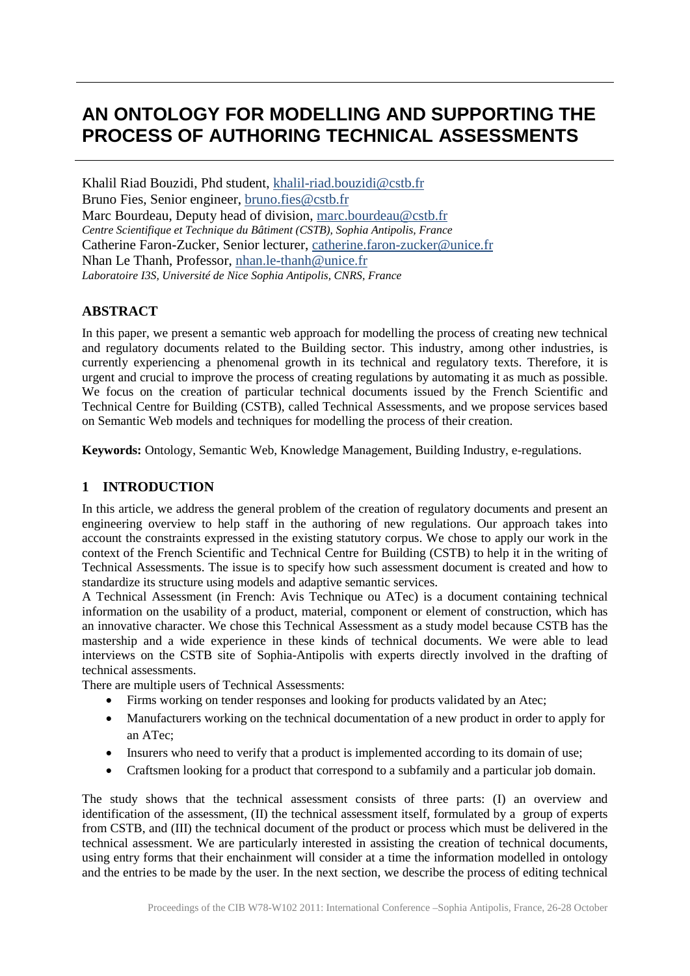# **AN ONTOLOGY FOR MODELLING AND SUPPORTING THE PROCESS OF AUTHORING TECHNICAL ASSESSMENTS**

Khalil Riad Bouzidi, Phd student, [khalil-riad.bouzidi@cstb.fr](mailto:khalil-riad.bouzidi@cstb.fr) Bruno Fies, Senior engineer, [bruno.fies@cstb.fr](mailto:bruno.fies@cstb.fr) Marc Bourdeau, Deputy head of division, [marc.bourdeau@cstb.fr](mailto:marc.bourdeau@cstb.fr) *Centre Scientifique et Technique du Bâtiment (CSTB), Sophia Antipolis, France* Catherine Faron-Zucker, Senior lecturer, [catherine.faron-zucker@unice.fr](mailto:catherine.faron-zucker@unice.fr) Nhan Le Thanh, Professor, [nhan.le-thanh@unice.fr](mailto:nhan.le-thanh@unice.fr) *Laboratoire I3S, Université de Nice Sophia Antipolis, CNRS, France*

## **ABSTRACT**

In this paper, we present a semantic web approach for modelling the process of creating new technical and regulatory documents related to the Building sector. This industry, among other industries, is currently experiencing a phenomenal growth in its technical and regulatory texts. Therefore, it is urgent and crucial to improve the process of creating regulations by automating it as much as possible. We focus on the creation of particular technical documents issued by the French Scientific and Technical Centre for Building (CSTB), called Technical Assessments, and we propose services based on Semantic Web models and techniques for modelling the process of their creation.

**Keywords:** Ontology, Semantic Web, Knowledge Management, Building Industry, e-regulations.

## **1 INTRODUCTION**

In this article, we address the general problem of the creation of regulatory documents and present an engineering overview to help staff in the authoring of new regulations. Our approach takes into account the constraints expressed in the existing statutory corpus. We chose to apply our work in the context of the French Scientific and Technical Centre for Building (CSTB) to help it in the writing of Technical Assessments. The issue is to specify how such assessment document is created and how to standardize its structure using models and adaptive semantic services.

A Technical Assessment (in French: Avis Technique ou ATec) is a document containing technical information on the usability of a product, material, component or element of construction, which has an innovative character. We chose this Technical Assessment as a study model because CSTB has the mastership and a wide experience in these kinds of technical documents. We were able to lead interviews on the CSTB site of Sophia-Antipolis with experts directly involved in the drafting of technical assessments.

There are multiple users of Technical Assessments:

- Firms working on tender responses and looking for products validated by an Atec;
- Manufacturers working on the technical documentation of a new product in order to apply for an ATec;
- Insurers who need to verify that a product is implemented according to its domain of use;
- Craftsmen looking for a product that correspond to a subfamily and a particular job domain.

The study shows that the technical assessment consists of three parts: (I) an overview and identification of the assessment, (II) the technical assessment itself, formulated by a group of experts from CSTB, and (III) the technical document of the product or process which must be delivered in the technical assessment. We are particularly interested in assisting the creation of technical documents, using entry forms that their enchainment will consider at a time the information modelled in ontology and the entries to be made by the user. In the next section, we describe the process of editing technical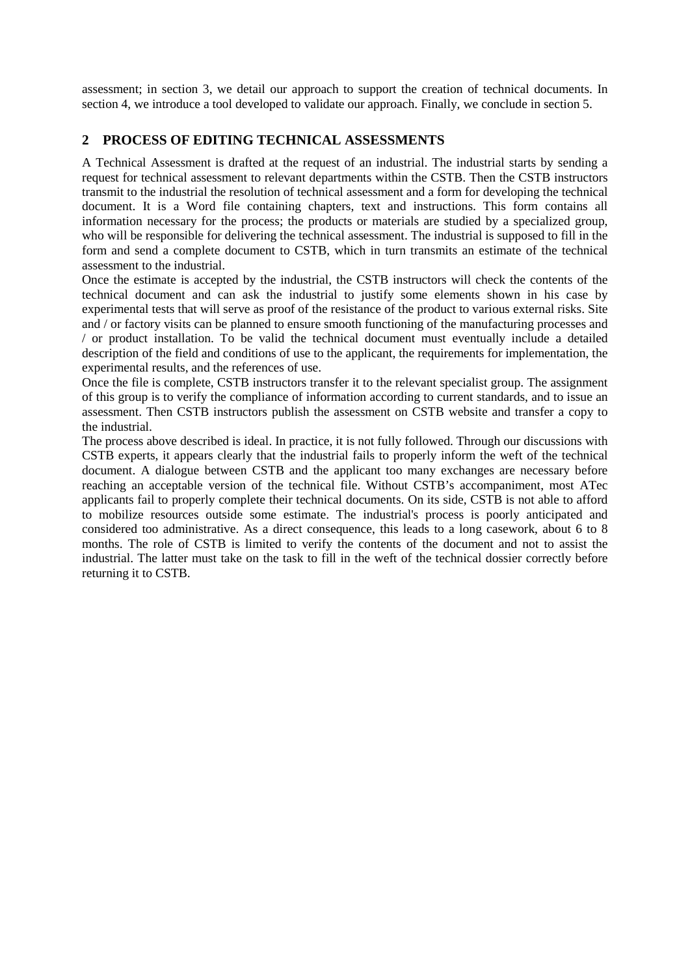assessment; in section 3, we detail our approach to support the creation of technical documents. In section 4, we introduce a tool developed to validate our approach. Finally, we conclude in section 5.

## **2 PROCESS OF EDITING TECHNICAL ASSESSMENTS**

A Technical Assessment is drafted at the request of an industrial. The industrial starts by sending a request for technical assessment to relevant departments within the CSTB. Then the CSTB instructors transmit to the industrial the resolution of technical assessment and a form for developing the technical document. It is a Word file containing chapters, text and instructions. This form contains all information necessary for the process; the products or materials are studied by a specialized group, who will be responsible for delivering the technical assessment. The industrial is supposed to fill in the form and send a complete document to CSTB, which in turn transmits an estimate of the technical assessment to the industrial.

Once the estimate is accepted by the industrial, the CSTB instructors will check the contents of the technical document and can ask the industrial to justify some elements shown in his case by experimental tests that will serve as proof of the resistance of the product to various external risks. Site and / or factory visits can be planned to ensure smooth functioning of the manufacturing processes and / or product installation. To be valid the technical document must eventually include a detailed description of the field and conditions of use to the applicant, the requirements for implementation, the experimental results, and the references of use.

Once the file is complete, CSTB instructors transfer it to the relevant specialist group. The assignment of this group is to verify the compliance of information according to current standards, and to issue an assessment. Then CSTB instructors publish the assessment on CSTB website and transfer a copy to the industrial.

The process above described is ideal. In practice, it is not fully followed. Through our discussions with CSTB experts, it appears clearly that the industrial fails to properly inform the weft of the technical document. A dialogue between CSTB and the applicant too many exchanges are necessary before reaching an acceptable version of the technical file. Without CSTB's accompaniment, most ATec applicants fail to properly complete their technical documents. On its side, CSTB is not able to afford to mobilize resources outside some estimate. The industrial's process is poorly anticipated and considered too administrative. As a direct consequence, this leads to a long casework, about 6 to 8 months. The role of CSTB is limited to verify the contents of the document and not to assist the industrial. The latter must take on the task to fill in the weft of the technical dossier correctly before returning it to CSTB.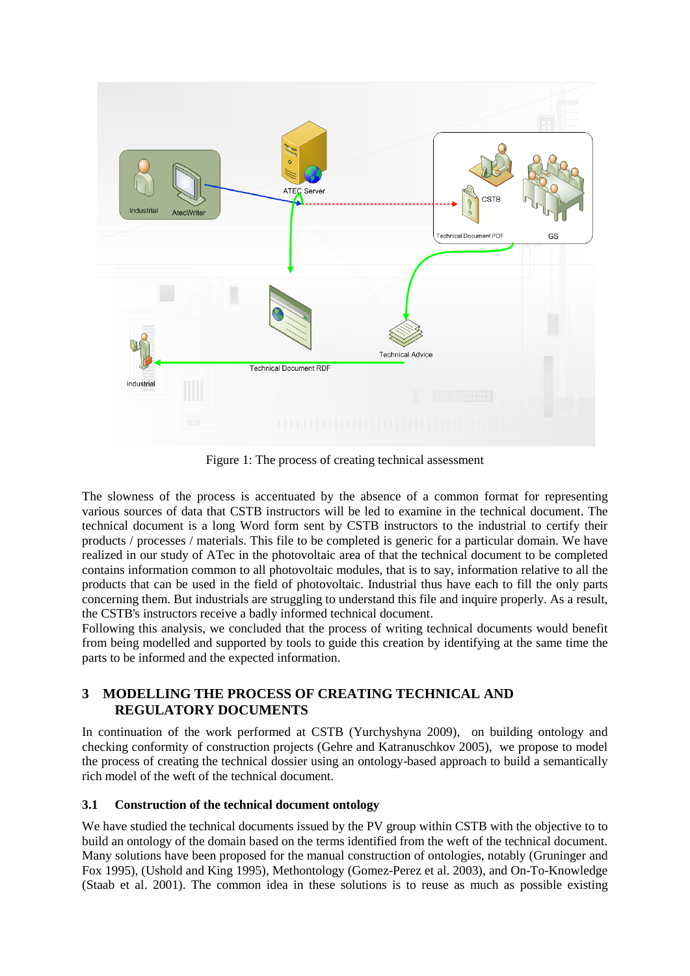

Figure 1: The process of creating technical assessment

The slowness of the process is accentuated by the absence of a common format for representing various sources of data that CSTB instructors will be led to examine in the technical document. The technical document is a long Word form sent by CSTB instructors to the industrial to certify their products / processes / materials. This file to be completed is generic for a particular domain. We have realized in our study of ATec in the photovoltaic area of that the technical document to be completed contains information common to all photovoltaic modules, that is to say, information relative to all the products that can be used in the field of photovoltaic. Industrial thus have each to fill the only parts concerning them. But industrials are struggling to understand this file and inquire properly. As a result, the CSTB's instructors receive a badly informed technical document.

Following this analysis, we concluded that the process of writing technical documents would benefit from being modelled and supported by tools to guide this creation by identifying at the same time the parts to be informed and the expected information.

## **3 MODELLING THE PROCESS OF CREATING TECHNICAL AND REGULATORY DOCUMENTS**

In continuation of the work performed at CSTB (Yurchyshyna 2009), on building ontology and checking conformity of construction projects (Gehre and Katranuschkov 2005), we propose to model the process of creating the technical dossier using an ontology-based approach to build a semantically rich model of the weft of the technical document.

## **3.1 Construction of the technical document ontology**

We have studied the technical documents issued by the PV group within CSTB with the objective to to build an ontology of the domain based on the terms identified from the weft of the technical document. Many solutions have been proposed for the manual construction of ontologies, notably (Gruninger and Fox 1995), (Ushold and King 1995), Methontology (Gomez-Perez et al. 2003), and On-To-Knowledge (Staab et al. 2001). The common idea in these solutions is to reuse as much as possible existing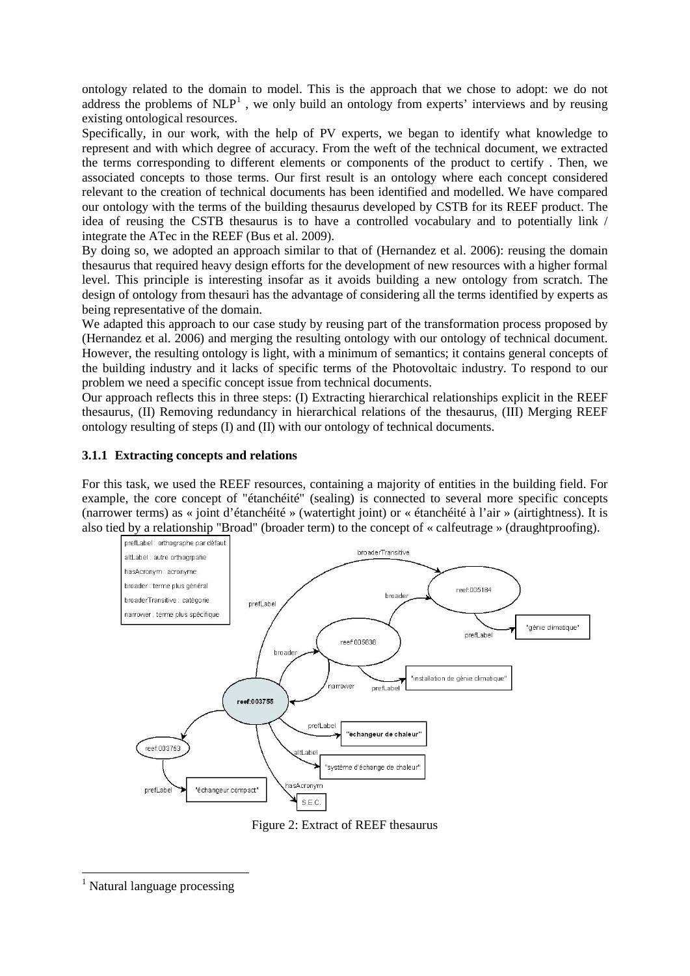ontology related to the domain to model. This is the approach that we chose to adopt: we do not address the problems of  $NLP<sup>1</sup>$  $NLP<sup>1</sup>$  $NLP<sup>1</sup>$ , we only build an ontology from experts' interviews and by reusing existing ontological resources.

Specifically, in our work, with the help of PV experts, we began to identify what knowledge to represent and with which degree of accuracy. From the weft of the technical document, we extracted the terms corresponding to different elements or components of the product to certify . Then, we associated concepts to those terms. Our first result is an ontology where each concept considered relevant to the creation of technical documents has been identified and modelled. We have compared our ontology with the terms of the building thesaurus developed by CSTB for its REEF product. The idea of reusing the CSTB thesaurus is to have a controlled vocabulary and to potentially link / integrate the ATec in the REEF (Bus et al. 2009).

By doing so, we adopted an approach similar to that of (Hernandez et al. 2006): reusing the domain thesaurus that required heavy design efforts for the development of new resources with a higher formal level. This principle is interesting insofar as it avoids building a new ontology from scratch. The design of ontology from thesauri has the advantage of considering all the terms identified by experts as being representative of the domain.

We adapted this approach to our case study by reusing part of the transformation process proposed by (Hernandez et al. 2006) and merging the resulting ontology with our ontology of technical document. However, the resulting ontology is light, with a minimum of semantics; it contains general concepts of the building industry and it lacks of specific terms of the Photovoltaic industry. To respond to our problem we need a specific concept issue from technical documents.

Our approach reflects this in three steps: (I) Extracting hierarchical relationships explicit in the REEF thesaurus, (II) Removing redundancy in hierarchical relations of the thesaurus, (III) Merging REEF ontology resulting of steps (I) and (II) with our ontology of technical documents.

#### **3.1.1 Extracting concepts and relations**

For this task, we used the REEF resources, containing a majority of entities in the building field. For example, the core concept of "étanchéité" (sealing) is connected to several more specific concepts (narrower terms) as « joint d'étanchéité » (watertight joint) or « étanchéité à l'air » (airtightness). It is also tied by a relationship "Broad" (broader term) to the concept of « calfeutrage » (draughtproofing).



Figure 2: Extract of REEF thesaurus

<span id="page-3-0"></span><sup>&</sup>lt;sup>1</sup> Natural language processing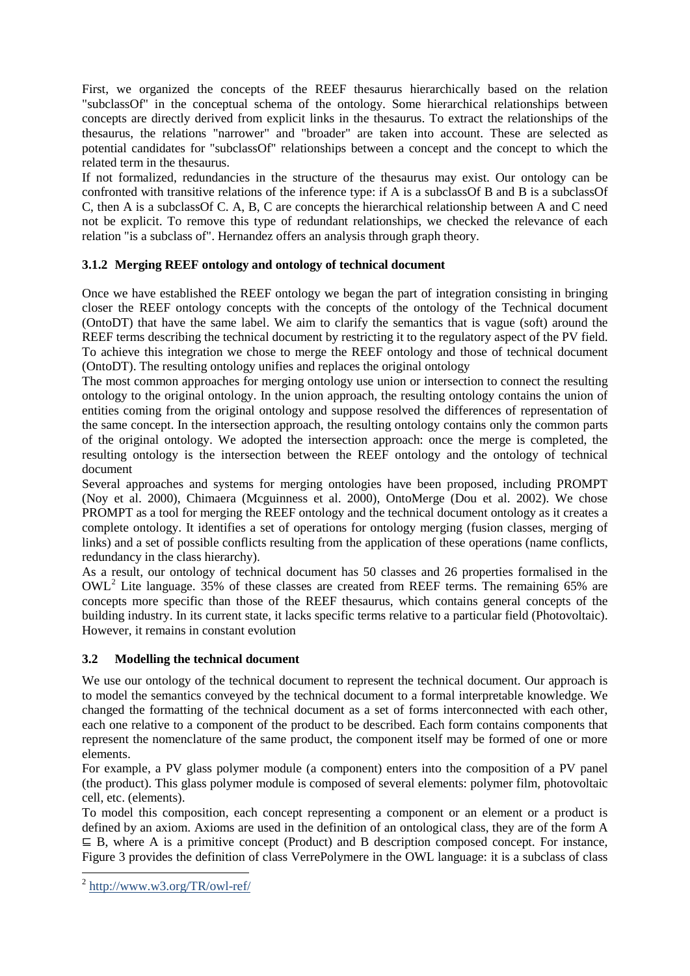First, we organized the concepts of the REEF thesaurus hierarchically based on the relation "subclassOf" in the conceptual schema of the ontology. Some hierarchical relationships between concepts are directly derived from explicit links in the thesaurus. To extract the relationships of the thesaurus, the relations "narrower" and "broader" are taken into account. These are selected as potential candidates for "subclassOf" relationships between a concept and the concept to which the related term in the thesaurus.

If not formalized, redundancies in the structure of the thesaurus may exist. Our ontology can be confronted with transitive relations of the inference type: if A is a subclassOf B and B is a subclassOf C, then A is a subclassOf C. A, B, C are concepts the hierarchical relationship between A and C need not be explicit. To remove this type of redundant relationships, we checked the relevance of each relation "is a subclass of". Hernandez offers an analysis through graph theory.

# **3.1.2 Merging REEF ontology and ontology of technical document**

Once we have established the REEF ontology we began the part of integration consisting in bringing closer the REEF ontology concepts with the concepts of the ontology of the Technical document (OntoDT) that have the same label. We aim to clarify the semantics that is vague (soft) around the REEF terms describing the technical document by restricting it to the regulatory aspect of the PV field. To achieve this integration we chose to merge the REEF ontology and those of technical document (OntoDT). The resulting ontology unifies and replaces the original ontology

The most common approaches for merging ontology use union or intersection to connect the resulting ontology to the original ontology. In the union approach, the resulting ontology contains the union of entities coming from the original ontology and suppose resolved the differences of representation of the same concept. In the intersection approach, the resulting ontology contains only the common parts of the original ontology. We adopted the intersection approach: once the merge is completed, the resulting ontology is the intersection between the REEF ontology and the ontology of technical document

Several approaches and systems for merging ontologies have been proposed, including PROMPT (Noy et al. 2000), Chimaera (Mcguinness et al. 2000), OntoMerge (Dou et al. 2002). We chose PROMPT as a tool for merging the REEF ontology and the technical document ontology as it creates a complete ontology. It identifies a set of operations for ontology merging (fusion classes, merging of links) and a set of possible conflicts resulting from the application of these operations (name conflicts, redundancy in the class hierarchy).

As a result, our ontology of technical document has 50 classes and 26 properties formalised in the OWL[2](#page-4-0) Lite language. 35% of these classes are created from REEF terms. The remaining 65% are concepts more specific than those of the REEF thesaurus, which contains general concepts of the building industry. In its current state, it lacks specific terms relative to a particular field (Photovoltaic). However, it remains in constant evolution

## **3.2 Modelling the technical document**

We use our ontology of the technical document to represent the technical document. Our approach is to model the semantics conveyed by the technical document to a formal interpretable knowledge. We changed the formatting of the technical document as a set of forms interconnected with each other, each one relative to a component of the product to be described. Each form contains components that represent the nomenclature of the same product, the component itself may be formed of one or more elements.

For example, a PV glass polymer module (a component) enters into the composition of a PV panel (the product). This glass polymer module is composed of several elements: polymer film, photovoltaic cell, etc. (elements).

To model this composition, each concept representing a component or an element or a product is defined by an axiom. Axioms are used in the definition of an ontological class, they are of the form A ⊑ B, where A is a primitive concept (Product) and B description composed concept. For instance, Figure 3 provides the definition of class VerrePolymere in the OWL language: it is a subclass of class

<span id="page-4-0"></span> <sup>2</sup> <http://www.w3.org/TR/owl-ref/>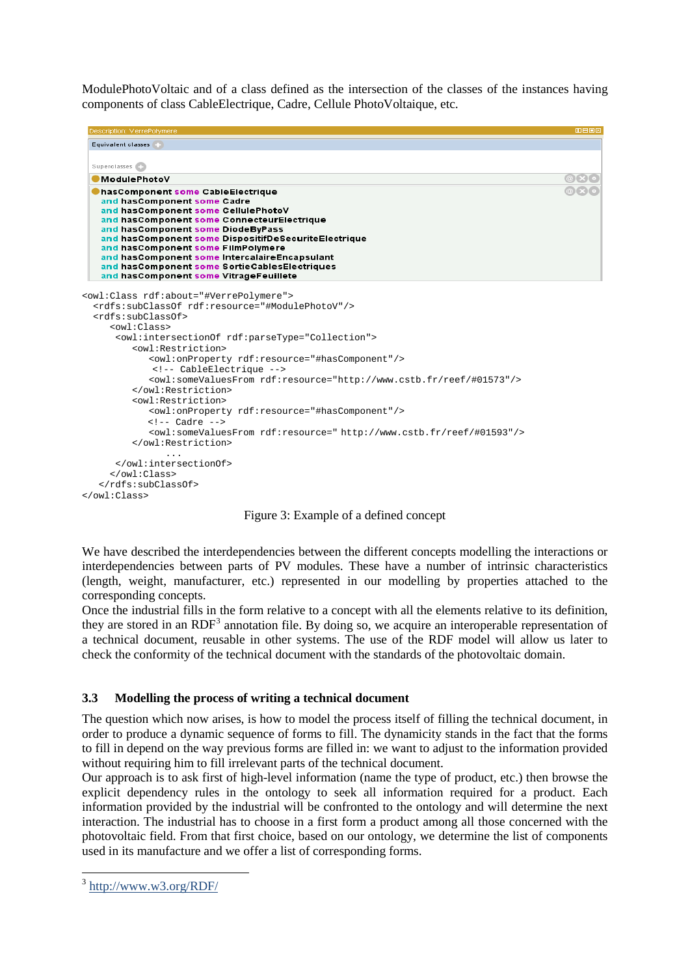ModulePhotoVoltaic and of a class defined as the intersection of the classes of the instances having components of class CableElectrique, Cadre, Cellule PhotoVoltaique, etc.



Figure 3: Example of a defined concept

We have described the interdependencies between the different concepts modelling the interactions or interdependencies between parts of PV modules. These have a number of intrinsic characteristics (length, weight, manufacturer, etc.) represented in our modelling by properties attached to the corresponding concepts.

Once the industrial fills in the form relative to a concept with all the elements relative to its definition, they are stored in an  $RDF<sup>3</sup>$  $RDF<sup>3</sup>$  $RDF<sup>3</sup>$  annotation file. By doing so, we acquire an interoperable representation of a technical document, reusable in other systems. The use of the RDF model will allow us later to check the conformity of the technical document with the standards of the photovoltaic domain.

## **3.3 Modelling the process of writing a technical document**

The question which now arises, is how to model the process itself of filling the technical document, in order to produce a dynamic sequence of forms to fill. The dynamicity stands in the fact that the forms to fill in depend on the way previous forms are filled in: we want to adjust to the information provided without requiring him to fill irrelevant parts of the technical document.

Our approach is to ask first of high-level information (name the type of product, etc.) then browse the explicit dependency rules in the ontology to seek all information required for a product. Each information provided by the industrial will be confronted to the ontology and will determine the next interaction. The industrial has to choose in a first form a product among all those concerned with the photovoltaic field. From that first choice, based on our ontology, we determine the list of components used in its manufacture and we offer a list of corresponding forms.

<span id="page-5-0"></span> <sup>3</sup> <http://www.w3.org/RDF/>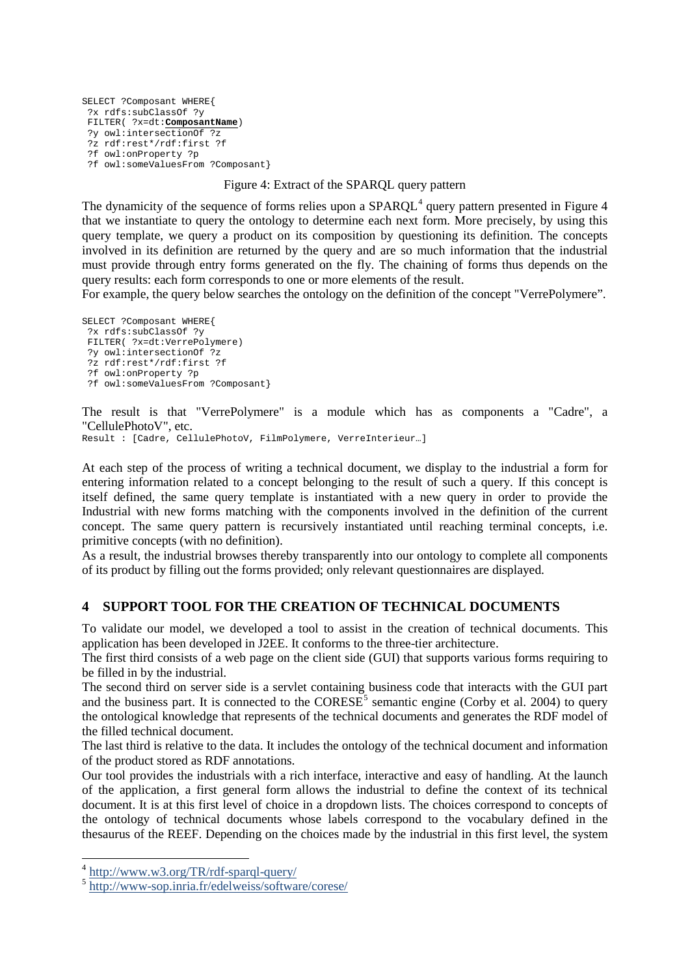```
SELECT ?Composant WHERE{
 ?x rdfs:subClassOf ?y
FILTER( ?x=dt:ComposantName)
 ?y owl:intersectionOf ?z
 ?z rdf:rest*/rdf:first ?f 
 ?f owl:onProperty ?p
 ?f owl:someValuesFrom ?Composant}
```
#### Figure 4: Extract of the SPARQL query pattern

The dynamicity of the sequence of forms relies upon a  $SPARQL<sup>4</sup>$  $SPARQL<sup>4</sup>$  $SPARQL<sup>4</sup>$  query pattern presented in Figure 4 that we instantiate to query the ontology to determine each next form. More precisely, by using this query template, we query a product on its composition by questioning its definition. The concepts involved in its definition are returned by the query and are so much information that the industrial must provide through entry forms generated on the fly. The chaining of forms thus depends on the query results: each form corresponds to one or more elements of the result.

For example, the query below searches the ontology on the definition of the concept "VerrePolymere".

```
SELECT ?Composant WHERE{
?x rdfs:subClassOf ?y
FILTER( ?x=dt:VerrePolymere)
?y owl:intersectionOf ?z
?z rdf:rest*/rdf:first ?f 
?f owl:onProperty ?p
?f owl:someValuesFrom ?Composant}
```
The result is that "VerrePolymere" is a module which has as components a "Cadre", a "CellulePhotoV", etc.

Result : [Cadre, CellulePhotoV, FilmPolymere, VerreInterieur…]

At each step of the process of writing a technical document, we display to the industrial a form for entering information related to a concept belonging to the result of such a query. If this concept is itself defined, the same query template is instantiated with a new query in order to provide the Industrial with new forms matching with the components involved in the definition of the current concept. The same query pattern is recursively instantiated until reaching terminal concepts, i.e. primitive concepts (with no definition).

As a result, the industrial browses thereby transparently into our ontology to complete all components of its product by filling out the forms provided; only relevant questionnaires are displayed.

## **4 SUPPORT TOOL FOR THE CREATION OF TECHNICAL DOCUMENTS**

To validate our model, we developed a tool to assist in the creation of technical documents. This application has been developed in J2EE. It conforms to the three-tier architecture.

The first third consists of a web page on the client side (GUI) that supports various forms requiring to be filled in by the industrial.

The second third on server side is a servlet containing business code that interacts with the GUI part and the business part. It is connected to the  $CORESE<sup>5</sup>$  $CORESE<sup>5</sup>$  $CORESE<sup>5</sup>$  semantic engine (Corby et al. 2004) to query the ontological knowledge that represents of the technical documents and generates the RDF model of the filled technical document.

The last third is relative to the data. It includes the ontology of the technical document and information of the product stored as RDF annotations.

Our tool provides the industrials with a rich interface, interactive and easy of handling. At the launch of the application, a first general form allows the industrial to define the context of its technical document. It is at this first level of choice in a dropdown lists. The choices correspond to concepts of the ontology of technical documents whose labels correspond to the vocabulary defined in the thesaurus of the REEF. Depending on the choices made by the industrial in this first level, the system

<span id="page-6-0"></span> <sup>4</sup> <http://www.w3.org/TR/rdf-sparql-query/>

<span id="page-6-1"></span><sup>5</sup> <http://www-sop.inria.fr/edelweiss/software/corese/>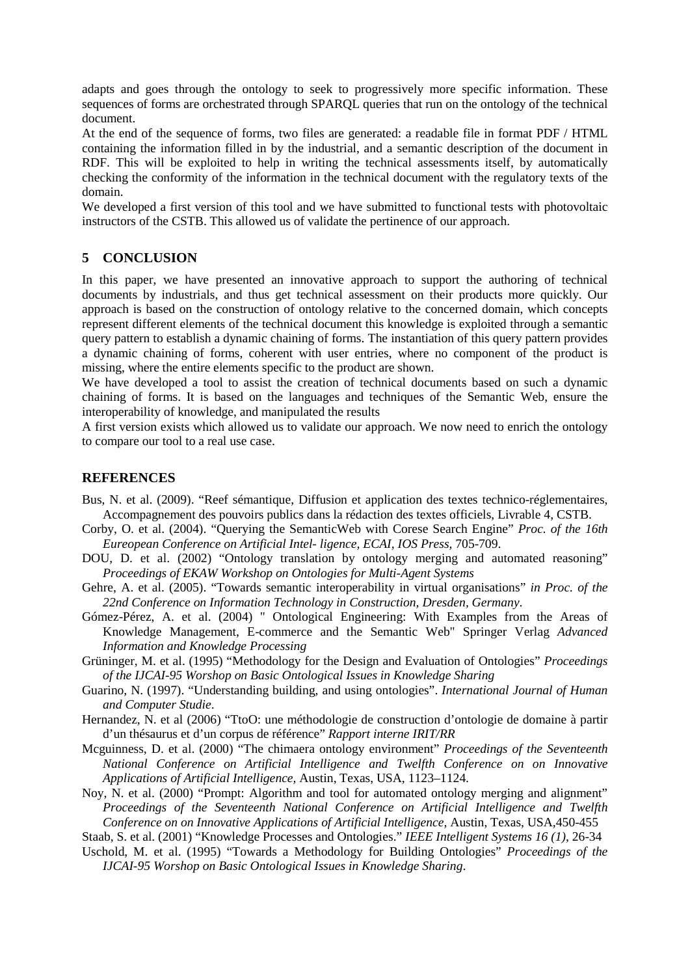adapts and goes through the ontology to seek to progressively more specific information. These sequences of forms are orchestrated through SPARQL queries that run on the ontology of the technical document.

At the end of the sequence of forms, two files are generated: a readable file in format PDF / HTML containing the information filled in by the industrial, and a semantic description of the document in RDF. This will be exploited to help in writing the technical assessments itself, by automatically checking the conformity of the information in the technical document with the regulatory texts of the domain.

We developed a first version of this tool and we have submitted to functional tests with photovoltaic instructors of the CSTB. This allowed us of validate the pertinence of our approach.

## **5 CONCLUSION**

In this paper, we have presented an innovative approach to support the authoring of technical documents by industrials, and thus get technical assessment on their products more quickly. Our approach is based on the construction of ontology relative to the concerned domain, which concepts represent different elements of the technical document this knowledge is exploited through a semantic query pattern to establish a dynamic chaining of forms. The instantiation of this query pattern provides a dynamic chaining of forms, coherent with user entries, where no component of the product is missing, where the entire elements specific to the product are shown.

We have developed a tool to assist the creation of technical documents based on such a dynamic chaining of forms. It is based on the languages and techniques of the Semantic Web, ensure the interoperability of knowledge, and manipulated the results

A first version exists which allowed us to validate our approach. We now need to enrich the ontology to compare our tool to a real use case.

## **REFERENCES**

- Bus, N. et al. (2009). "Reef sémantique, Diffusion et application des textes technico-réglementaires, Accompagnement des pouvoirs publics dans la rédaction des textes officiels, Livrable 4, CSTB.
- Corby, O. et al. (2004). "Querying the SemanticWeb with Corese Search Engine" *Proc. of the 16th Eureopean Conference on Artificial Intel- ligence, ECAI, IOS Press,* 705-709.
- DOU, D. et al. (2002) "Ontology translation by ontology merging and automated reasoning" *Proceedings of EKAW Workshop on Ontologies for Multi-Agent Systems*
- Gehre, A. et al. (2005). "Towards semantic interoperability in virtual organisations" *in Proc. of the 22nd Conference on Information Technology in Construction, Dresden, Germany*.
- Gómez-Pérez, A. et al. (2004) " Ontological Engineering: With Examples from the Areas of Knowledge Management, E-commerce and the Semantic Web" Springer Verlag *Advanced Information and Knowledge Processing*
- Grüninger, M. et al. (1995) "Methodology for the Design and Evaluation of Ontologies" *Proceedings of the IJCAI-95 Worshop on Basic Ontological Issues in Knowledge Sharing*
- Guarino, N. (1997). "Understanding building, and using ontologies". *International Journal of Human and Computer Studie*.
- Hernandez, N. et al (2006) "TtoO: une méthodologie de construction d'ontologie de domaine à partir d'un thésaurus et d'un corpus de référence" *Rapport interne IRIT/RR*
- Mcguinness, D. et al. (2000) "The chimaera ontology environment" *Proceedings of the Seventeenth National Conference on Artificial Intelligence and Twelfth Conference on on Innovative Applications of Artificial Intelligence,* Austin, Texas, USA, 1123–1124.
- Noy, N. et al. (2000) "Prompt: Algorithm and tool for automated ontology merging and alignment" *Proceedings of the Seventeenth National Conference on Artificial Intelligence and Twelfth Conference on on Innovative Applications of Artificial Intelligence,* Austin, Texas, USA*,*450-455

Staab, S. et al. (2001) "Knowledge Processes and Ontologies." *IEEE Intelligent Systems 16 (1)*, 26-34

Uschold, M. et al. (1995) "Towards a Methodology for Building Ontologies" *Proceedings of the IJCAI-95 Worshop on Basic Ontological Issues in Knowledge Sharing*.